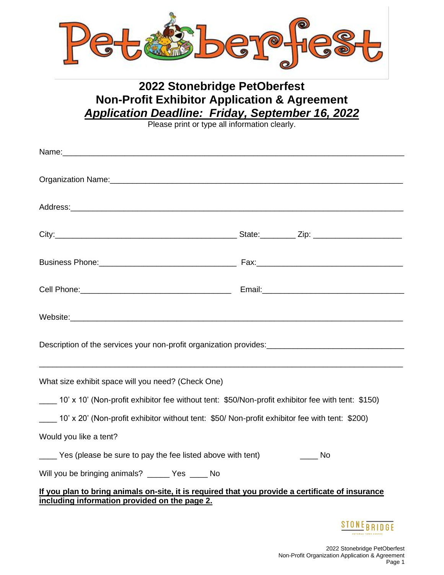

## **2022 Stonebridge PetOberfest Non-Profit Exhibitor Application & Agreement**  *Application Deadline: Friday, September 16, 2022*

Please print or type all information clearly.

| Business Phone: 2008. 2009. [2010] Pax: 2010. [2010] Pax: 2010. [2010] Pax: 2010. [2010] Pax: 2010. [2010] Pax: 2010. [2010] Pax: 2010. [2010] Pax: 2010. [2010] Pax: 2010. [2010] Pax: 2010. [2010] Pax: 2010. [2010] Pax: 20 |                                  |
|--------------------------------------------------------------------------------------------------------------------------------------------------------------------------------------------------------------------------------|----------------------------------|
|                                                                                                                                                                                                                                |                                  |
| Website: www.astronometer.com/website: www.astronometer.com/website: www.astronometer.com/website:                                                                                                                             |                                  |
|                                                                                                                                                                                                                                |                                  |
| What size exhibit space will you need? (Check One)                                                                                                                                                                             |                                  |
| 10' x 10' (Non-profit exhibitor fee without tent: \$50/Non-profit exhibitor fee with tent: \$150)                                                                                                                              |                                  |
| 10' x 20' (Non-profit exhibitor without tent: \$50/ Non-profit exhibitor fee with tent: \$200)                                                                                                                                 |                                  |
| Would you like a tent?                                                                                                                                                                                                         |                                  |
| Yes (please be sure to pay the fee listed above with tent)                                                                                                                                                                     | in it is not been been been been |
| Will you be bringing animals? _____ Yes ____ No                                                                                                                                                                                |                                  |
| If you plan to bring animals on-site, it is required that you provide a certificate of insurance<br>including information provided on the page 2.                                                                              |                                  |
|                                                                                                                                                                                                                                | <b>STONE BRIDGE</b>              |

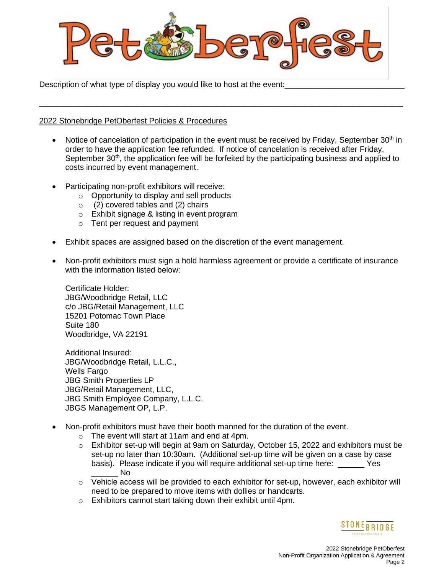

\_\_\_\_\_\_\_\_\_\_\_\_\_\_\_\_\_\_\_\_\_\_\_\_\_\_\_\_\_\_\_\_\_\_\_\_\_\_\_\_\_\_\_\_\_\_\_\_\_\_\_\_\_\_\_\_\_\_\_\_\_\_\_\_\_\_\_\_\_\_\_\_\_\_\_\_\_\_\_\_\_\_

Description of what type of display you would like to host at the event:

## 2022 Stonebridge PetOberfest Policies & Procedures

- Notice of cancelation of participation in the event must be received by Friday, September 30<sup>th</sup> in order to have the application fee refunded. If notice of cancelation is received after Friday, September  $30<sup>th</sup>$ , the application fee will be forfeited by the participating business and applied to costs incurred by event management.
- Participating non-profit exhibitors will receive:
	- o Opportunity to display and sell products
	- o (2) covered tables and (2) chairs
	- o Exhibit signage & listing in event program
	- o Tent per request and payment
- Exhibit spaces are assigned based on the discretion of the event management.
- Non-profit exhibitors must sign a hold harmless agreement or provide a certificate of insurance with the information listed below:

Certificate Holder: JBG/Woodbridge Retail, LLC c/o JBG/Retail Management, LLC 15201 Potomac Town Place Suite 180 Woodbridge, VA 22191

Additional Insured: JBG/Woodbridge Retail, L.L.C., Wells Fargo JBG Smith Properties LP JBG/Retail Management, LLC, JBG Smith Employee Company, L.L.C. JBGS Management OP, L.P.

- Non-profit exhibitors must have their booth manned for the duration of the event.
	- o The event will start at 11am and end at 4pm.
	- $\circ$  Exhibitor set-up will begin at 9am on Saturday, October 15, 2022 and exhibitors must be set-up no later than 10:30am. (Additional set-up time will be given on a case by case basis). Please indicate if you will require additional set-up time here: \_\_\_\_\_\_ Yes  $\overline{\mathsf{N}}$ o
	- $\circ$  Vehicle access will be provided to each exhibitor for set-up, however, each exhibitor will need to be prepared to move items with dollies or handcarts.
	- o Exhibitors cannot start taking down their exhibit until 4pm.

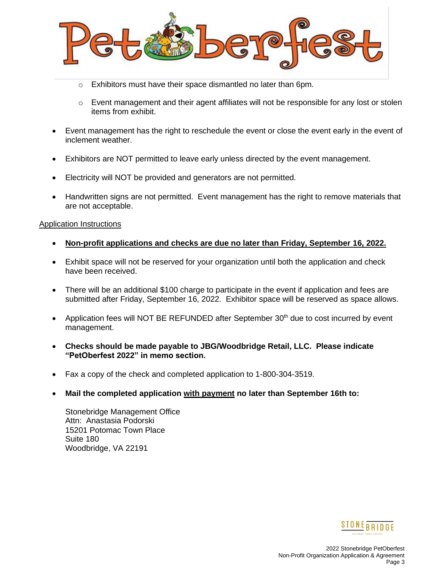

- o Exhibitors must have their space dismantled no later than 6pm.
- $\circ$  Event management and their agent affiliates will not be responsible for any lost or stolen items from exhibit.
- Event management has the right to reschedule the event or close the event early in the event of inclement weather.
- Exhibitors are NOT permitted to leave early unless directed by the event management.
- Electricity will NOT be provided and generators are not permitted.
- Handwritten signs are not permitted. Event management has the right to remove materials that are not acceptable.

## Application Instructions

- **Non-profit applications and checks are due no later than Friday, September 16, 2022.**
- Exhibit space will not be reserved for your organization until both the application and check have been received.
- There will be an additional \$100 charge to participate in the event if application and fees are submitted after Friday, September 16, 2022. Exhibitor space will be reserved as space allows.
- Application fees will NOT BE REFUNDED after September 30<sup>th</sup> due to cost incurred by event management.
- **Checks should be made payable to JBG/Woodbridge Retail, LLC. Please indicate "PetOberfest 2022" in memo section.**
- Fax a copy of the check and completed application to 1-800-304-3519.
- **Mail the completed application with payment no later than September 16th to:**

Stonebridge Management Office Attn: Anastasia Podorski 15201 Potomac Town Place Suite 180 Woodbridge, VA 22191